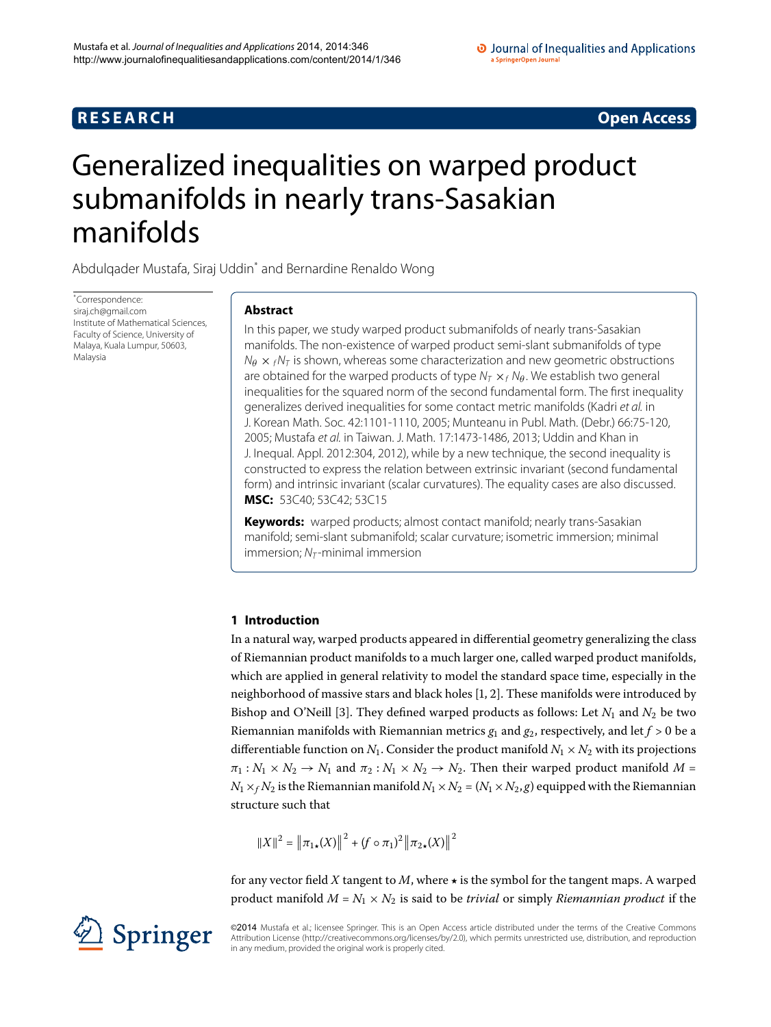## **R E S E A R C H Open Access**

# <span id="page-0-0"></span>Generalized inequalities on warped product submanifolds in nearly trans-Sasakian manifolds

Abdulqader Mustafa, Siraj Uddi[n\\*](#page-0-0) and Bernardine Renaldo Wong

\* Correspondence: [siraj.ch@gmail.com](mailto:siraj.ch@gmail.com) Institute of Mathematical Sciences, Faculty of Science, University of Malaya, Kuala Lumpur, 50603, Malaysia

## **Abstract**

In this paper, we study warped product submanifolds of nearly trans-Sasakian manifolds. The non-existence of warped product semi-slant submanifolds of type  $N_{\theta}$   $\times$   $_f$ N<sub>T</sub> is shown, whereas some characterization and new geometric obstructions are obtained for the warped products of type  $N_T \times_f N_\theta$ . We establish two general inequalities for the squared norm of the second fundamental form. The first inequality generalizes derived inequalities for some contact metric manifolds (Kadri et al. in J. Korean Math. Soc. 42:1101-1110, 2005; Munteanu in Publ. Math. (Debr.) 66:75-120, 2005; Mustafa et al. in Taiwan. J. Math. 17:1473-1486, 2013; Uddin and Khan in J. Inequal. Appl. 2012:304, 2012), while by a new technique, the second inequality is constructed to express the relation between extrinsic invariant (second fundamental form) and intrinsic invariant (scalar curvatures). The equality cases are also discussed. **MSC:** 53C40; 53C42; 53C15

**Keywords:** warped products; almost contact manifold; nearly trans-Sasakian manifold; semi-slant submanifold; scalar curvature; isometric immersion; minimal immersion;  $N_T$ -minimal immersion

## **1 Introduction**

In a natural way, warped products appeared in differential geometry generalizing the class of Riemannian product manifolds to a much larger one, called warped product manifolds, which are applied in general relativity to model the standard space time, especially in the neighborhood of massive stars and black holes  $[1, 2]$  $[1, 2]$  $[1, 2]$ . These manifolds were introduced by Bishop and O'Neill [\[](#page-14-2)3]. They defined warped products as follows: Let  $N_1$  and  $N_2$  be two Riemannian manifolds with Riemannian metrics  $g_1$  and  $g_2$ , respectively, and let  $f > 0$  be a differentiable function on  $N_1$ . Consider the product manifold  $N_1 \times N_2$  with its projections  $\pi_1 : N_1 \times N_2 \to N_1$  and  $\pi_2 : N_1 \times N_2 \to N_2$ . Then their warped product manifold *M* =  $N_1 \times_f N_2$  is the Riemannian manifold  $N_1 \times N_2 = (N_1 \times N_2, g)$  equipped with the Riemannian structure such that

$$
||X||^{2} = ||\pi_{1\star}(X)||^{2} + (f \circ \pi_{1})^{2} ||\pi_{2\star}(X)||^{2}
$$

for any vector field  $X$  tangent to  $M$ , where  $\star$  is the symbol for the tangent maps. A warped product manifold  $M = N_1 \times N_2$  is said to be *trivial* or simply *Riemannian product* if the

©2014 Mustafa et al.; licensee Springer. This is an Open Access article distributed under the terms of the Creative Commons Attribution License [\(http://creativecommons.org/licenses/by/2.0](http://creativecommons.org/licenses/by/2.0)), which permits unrestricted use, distribution, and reproduction in any medium, provided the original work is properly cited.

Springer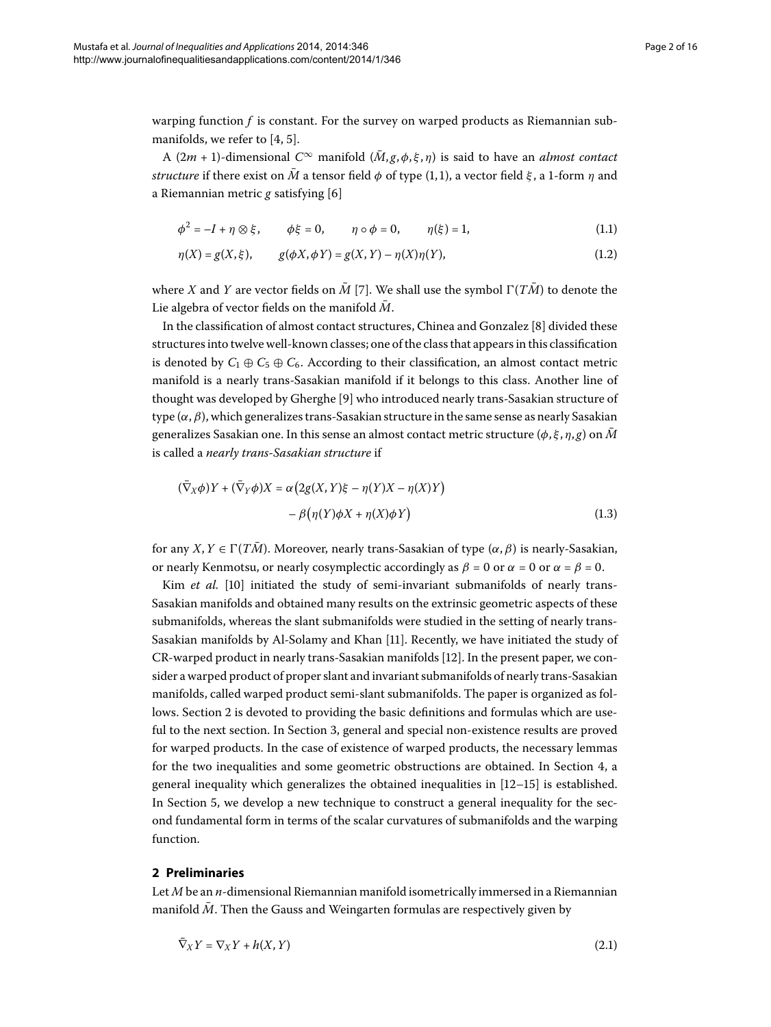warping function *f* is constant. For the survey on warped products as Riemannian sub-manifolds[,](#page-14-3) we refer to  $[4, 5]$ .

A  $(2m + 1)$ -dimensional  $C^{\infty}$  manifold  $(\overline{M}, g, \phi, \xi, \eta)$  is said to have an *almost contact structure* if there exist on  $\overline{M}$  a tensor field  $\phi$  of type (1, 1), a vector field  $\xi$ , a 1-form  $\eta$  and a Riemannian metric  $g$  satisfying [\[](#page-14-5)6]

<span id="page-1-3"></span>
$$
\phi^2 = -I + \eta \otimes \xi, \qquad \phi \xi = 0, \qquad \eta \circ \phi = 0, \qquad \eta(\xi) = 1,
$$
 (1.1)

$$
\eta(X) = g(X, \xi), \qquad g(\phi X, \phi Y) = g(X, Y) - \eta(X)\eta(Y), \tag{1.2}
$$

where *X* and *Y* are vector fields on  $\overline{M}$  [\[](#page-14-6)7]. We shall use the symbol  $\Gamma(T\overline{M})$  to denote the Lie algebra of vector fields on the manifold  $\overline{M}$ .

<span id="page-1-1"></span>In the classification of almost contact structures, Chinea and Gonzalez [8[\]](#page-14-7) divided these structures into twelve well-known classes; one of the class that appears in this classification is denoted by  $C_1 \oplus C_5 \oplus C_6$ . According to their classification, an almost contact metric manifold is a nearly trans-Sasakian manifold if it belongs to this class. Another line of thought was developed by Gherghe [9] who introduced nearly trans-Sasakian structure of type (*α*,*β*), which generalizes trans-Sasakian structure in the same sense as nearly Sasakian generalizes Sasakian one. In this sense an almost contact metric structure ( $\phi$ ,  $\xi$ ,  $\eta$ ,  $g$ ) on M is called a *nearly trans-Sasakian structure* if

$$
(\bar{\nabla}_X \phi)Y + (\bar{\nabla}_Y \phi)X = \alpha (2g(X, Y)\xi - \eta(Y)X - \eta(X)Y)
$$

$$
- \beta (\eta(Y)\phi X + \eta(X)\phi Y) \tag{1.3}
$$

for any *X*,  $Y \in \Gamma(T\overline{M})$ . Moreover, nearly trans-Sasakian of type  $(\alpha, \beta)$  is nearly-Sasakian, or nearly Kenmotsu, or nearly cosymplectic accordingly as  $\beta = 0$  or  $\alpha = 0$  or  $\alpha = \beta = 0$ .

Kim *et al.* [10[\]](#page-14-9) initiated the study of semi-invariant submanifolds of nearly trans-Sasakian manifolds and obtained many results on the extrinsic geometric aspects of these submanifolds, whereas the slant submanifolds were studied in the setting of nearly trans-Sasakian manifolds by Al-Solamy and Khan [\[](#page-14-10)11]. Recently, we have initiated the study of CR-warped product in nearly trans-Sasakian manifolds [[\]](#page-14-11). In the present paper, we consider a warped product of proper slant and invariant submanifolds of nearly trans-Sasakian manifolds, called warped product semi-slant submanifolds. The paper is organized as follows. Section 2 is devoted to providing the basic definitions and formulas which are useful to the next section. In Section 3, general and special non-existence results are proved for warped products. In the case of existence of warped products, the necessary lemmas for the two inequalities and some geometric obstructions are obtained. In Section  $4$ , a general inequality which generalizes the obtained inequalities in  $[12-15]$  $[12-15]$  is established. In Section 5[,](#page-11-0) we develop a new technique to construct a general inequality for the second fundamental form in terms of the scalar curvatures of submanifolds and the warping function.

## <span id="page-1-0"></span>**2 Preliminaries**

Let *M* be an *n*-dimensional Riemannian manifold isometrically immersed in a Riemannian manifold  $\overline{M}$ . Then the Gauss and Weingarten formulas are respectively given by

<span id="page-1-2"></span>
$$
\bar{\nabla}_X Y = \nabla_X Y + h(X, Y) \tag{2.1}
$$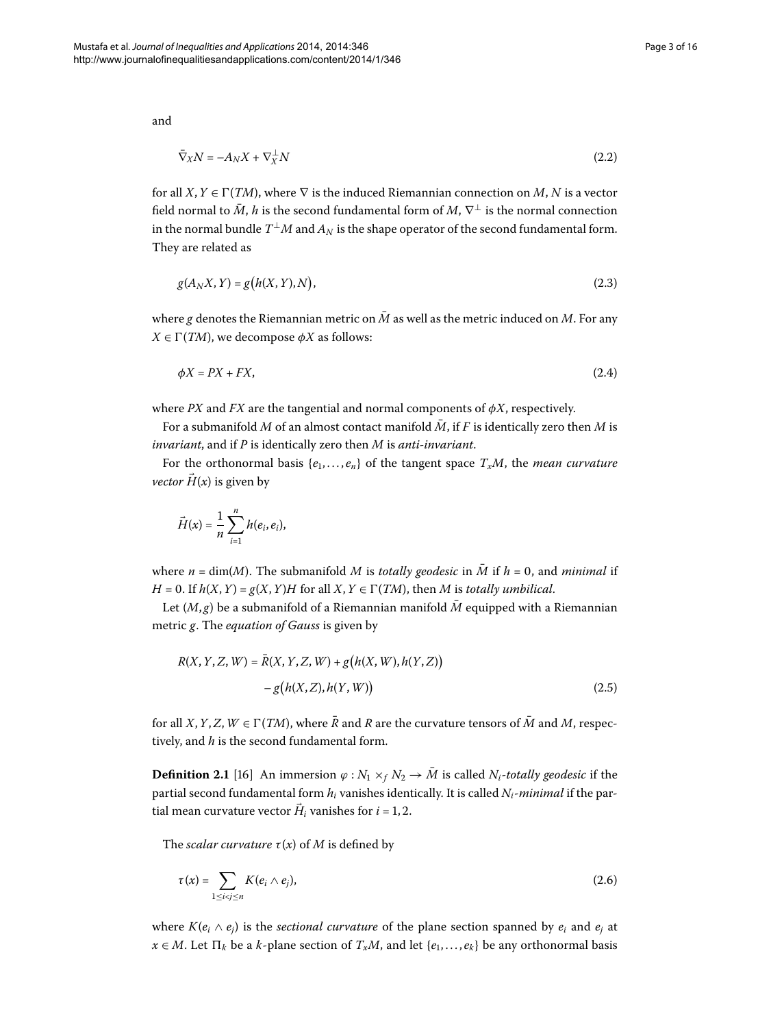and

$$
\nabla_X N = -A_N X + \nabla_X^{\perp} N \tag{2.2}
$$

for all  $X, Y \in \Gamma(TM)$ , where  $\nabla$  is the induced Riemannian connection on *M*, *N* is a vector field normal to  $\bar{M}$ ,  $h$  is the second fundamental form of  $M$ ,  $\nabla^{\perp}$  is the normal connection in the normal bundle  $T^{\perp}M$  and  $A_N$  is the shape operator of the second fundamental form. They are related as

$$
g(A_N X, Y) = g(h(X, Y), N),\tag{2.3}
$$

where g denotes the Riemannian metric on  $\overline{M}$  as well as the metric induced on M. For any  $X \in \Gamma(TM)$ , we decompose  $\phi X$  as follows:

$$
\phi X = PX + FX,\tag{2.4}
$$

where *PX* and *FX* are the tangential and normal components of  $\phi X$ , respectively.

For a submanifold M of an almost contact manifold  $\overline{M}$ , if F is identically zero then M is *invariant*, and if *P* is identically zero then *M* is *anti-invariant*.

For the orthonormal basis  $\{e_1, \ldots, e_n\}$  of the tangent space  $T_xM$ , the *mean curvature vector*  $\vec{H}(x)$  is given by

<span id="page-2-0"></span>
$$
\vec{H}(x) = \frac{1}{n} \sum_{i=1}^{n} h(e_i, e_i),
$$

where  $n = \dim(M)$ . The submanifold M is *totally geodesic* in  $\overline{M}$  if  $h = 0$ , and *minimal* if *H* = 0. If  $h(X, Y) = g(X, Y)H$  for all  $X, Y \in \Gamma(TM)$ , then *M* is *totally umbilical*.

Let  $(M, g)$  be a submanifold of a Riemannian manifold  $\overline{M}$  equipped with a Riemannian metric *g*. The *equation of Gauss* is given by

<span id="page-2-1"></span>
$$
R(X, Y, Z, W) = \bar{R}(X, Y, Z, W) + g(h(X, W), h(Y, Z))
$$
  
-g(h(X, Z), h(Y, W)) (2.5)

for all *X*, *Y*, *Z*, *W*  $\in \Gamma(TM)$ , where  $\overline{R}$  and *R* are the curvature tensors of  $\overline{M}$  and *M*, respectively, and *h* is the second fundamental form.

**Definition 2.1** [16[\]](#page-14-13) An immersion  $\varphi : N_1 \times_f N_2 \to \overline{M}$  is called  $N_i$ -totally geodesic if the partial second fundamental form *hi* vanishes identically. It is called *Ni*-*minimal* if the partial mean curvature vector  $H_i$  vanishes for  $i = 1, 2$ .

The *scalar curvature*  $\tau(x)$  of *M* is defined by

$$
\tau(x) = \sum_{1 \leq i < j \leq n} K(e_i \wedge e_j),\tag{2.6}
$$

where  $K(e_i \wedge e_j)$  is the *sectional curvature* of the plane section spanned by  $e_i$  and  $e_j$  at *x* ∈ *M*. Let  $\Pi_k$  be a *k*-plane section of  $T_xM$ , and let { $e_1, \ldots, e_k$ } be any orthonormal basis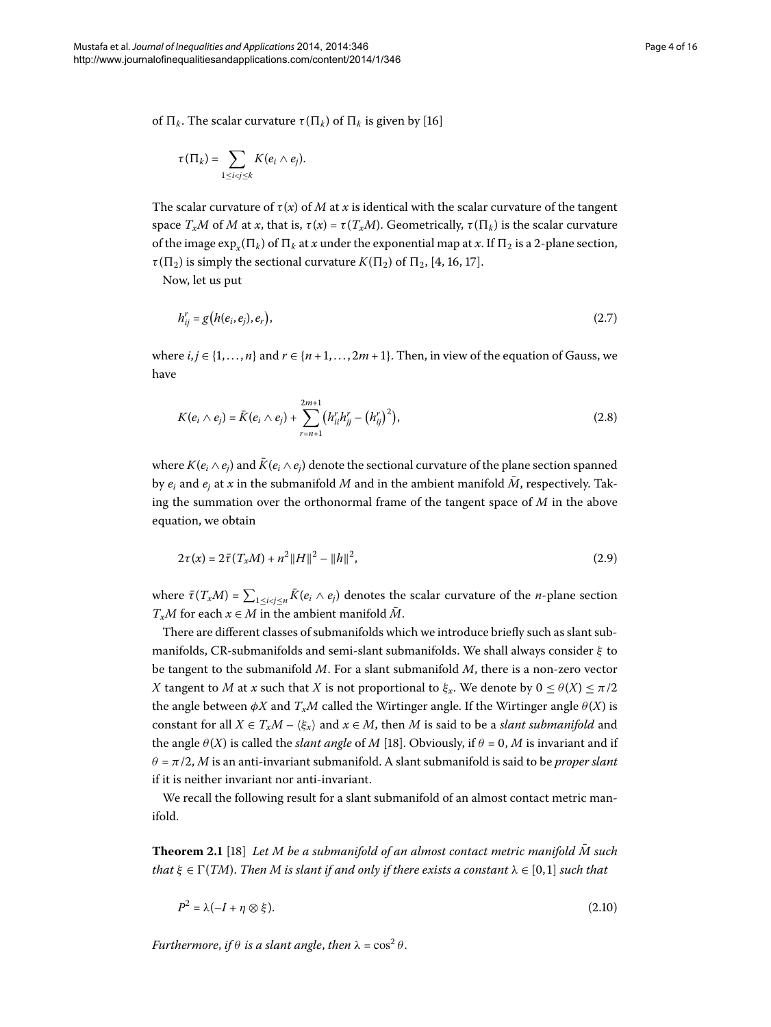of  $\Pi_k$ . The scalar curvature  $\tau(\Pi_k)$  of  $\Pi_k$  is given by [\[](#page-14-13)16]

<span id="page-3-1"></span>
$$
\tau(\Pi_k)=\sum_{1\leq i
$$

The scalar curvature of  $\tau(x)$  of *M* at *x* is identical with the scalar curvature of the tangent space  $T_xM$  of *M* at *x*, that is,  $\tau(x) = \tau(T_xM)$ . Geometrically,  $\tau(\Pi_k)$  is the scalar curvature of the image  $\exp_{\kappa}(\Pi_k)$  of  $\Pi_k$  at *x* under the exponential map at *x*. If  $\Pi_2$  is a 2-plane section,  $\tau(\Pi_2)$  is simply the sectional curvature  $K(\Pi_2)$  of  $\Pi_2$ , [\[](#page-14-3)4, 16, 17].

Now, let us put

<span id="page-3-3"></span>
$$
h_{ij}^r = g(h(e_i, e_j), e_r), \tag{2.7}
$$

where  $i, j \in \{1, ..., n\}$  and  $r \in \{n+1, ..., 2m+1\}$ . Then, in view of the equation of Gauss, we have

<span id="page-3-2"></span>
$$
K(e_i \wedge e_j) = \bar{K}(e_i \wedge e_j) + \sum_{r=n+1}^{2m+1} (h_{ii}^r h_{jj}^r - (h_{ij}^r)^2),
$$
\n(2.8)

where  $K(e_i \wedge e_j)$  and  $\bar{K}(e_i \wedge e_j)$  denote the sectional curvature of the plane section spanned by  $e_i$  and  $e_j$  at *x* in the submanifold *M* and in the ambient manifold  $\overline{M}$ , respectively. Taking the summation over the orthonormal frame of the tangent space of *M* in the above equation, we obtain

$$
2\tau(x) = 2\bar{\tau}(T_x M) + n^2 \|H\|^2 - \|h\|^2,
$$
\n(2.9)

where  $\bar{\tau}(T_xM) = \sum_{1 \le i < j \le n} K(e_i \wedge e_j)$  denotes the scalar curvature of the *n*-plane section  $T_xM$  for each  $x \in M$  in the ambient manifold  $\overline{M}$ .

There are different classes of submanifolds which we introduce briefly such as slant submanifolds, CR-submanifolds and semi-slant submanifolds. We shall always consider *ξ* to be tangent to the submanifold *M*. For a slant submanifold *M*, there is a non-zero vector *X* tangent to *M* at *x* such that *X* is not proportional to  $\xi_x$ . We denote by  $0 \le \theta(X) \le \pi/2$ the angle between  $\phi X$  and  $T_xM$  called the Wirtinger angle. If the Wirtinger angle  $\theta(X)$  is constant for all  $X \in T_xM - \langle \xi_x \rangle$  and  $x \in M$ , then *M* is said to be a *slant submanifold* and the angle  $\theta$ (*X*) is called the *slant angle* of *M* [18]. Obviously, if  $\theta = 0$ , *M* is invariant and if  $\theta = \pi/2$ , *M* is an anti-invariant submanifold. A slant submanifold is said to be *proper slant* if it is neither invariant nor anti-invariant.

We recall the following result for a slant submanifold of an almost contact metric manifold.

**Theorem 2.1** [\[](#page-14-15)18] Let M be a submanifold of an almost contact metric manifold  $\overline{M}$  such *that*  $\xi \in \Gamma(TM)$ . Then M is slant if and only if there exists a constant  $\lambda \in [0,1]$  such that

<span id="page-3-0"></span>
$$
P^2 = \lambda(-I + \eta \otimes \xi). \tag{2.10}
$$

*Furthermore, if*  $\theta$  *is a slant angle, then*  $\lambda = \cos^2 \theta$ .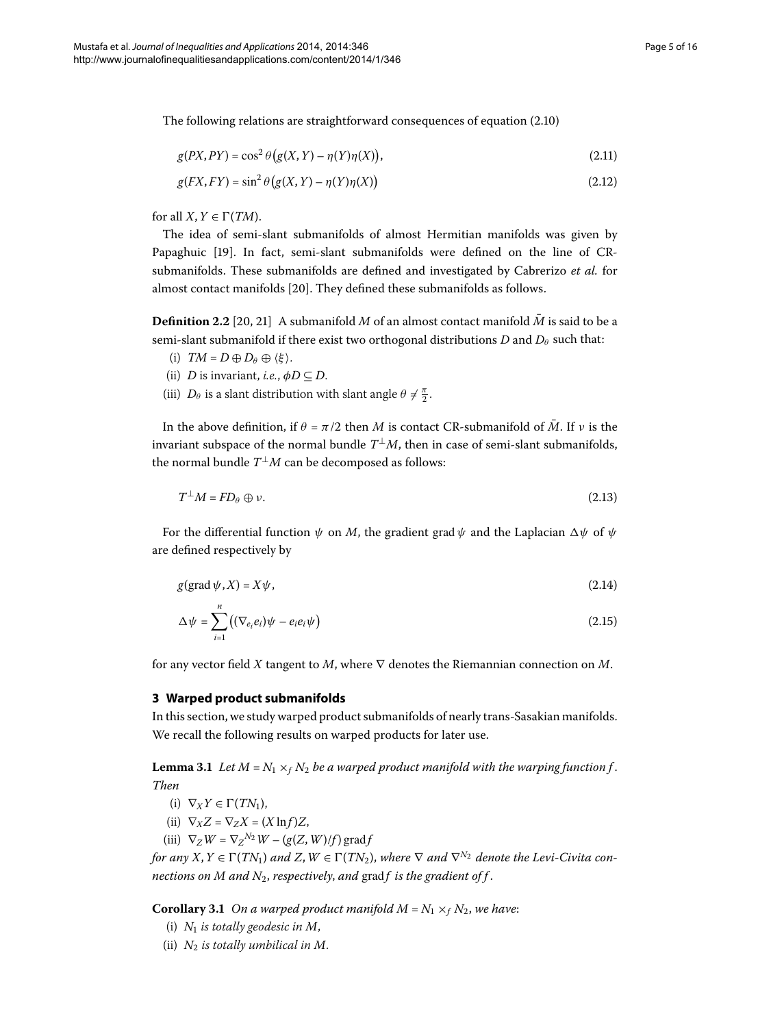The following relations are straightforward consequences of equation  $(2.10)$  $(2.10)$  $(2.10)$ 

$$
g(PX, PY) = \cos^2 \theta \left( g(X, Y) - \eta(Y)\eta(X) \right),\tag{2.11}
$$

$$
g(FX, FY) = \sin^2 \theta \left( g(X, Y) - \eta(Y)\eta(X) \right) \tag{2.12}
$$

for all  $X, Y \in \Gamma(TM)$ .

The idea of semi-slant submanifolds of almost Hermitian manifolds was given by Papaghuic [\[](#page-14-16)19]. In fact, semi-slant submanifolds were defined on the line of CRsubmanifolds. These submanifolds are defined and investigated by Cabrerizo *et al.* for almost contact manifolds [20]. They defined these submanifolds as follows.

**Definition 2.2** [20, 21[\]](#page-14-18) A submanifold *M* of an almost contact manifold  $\overline{M}$  is said to be a semi-slant submanifold if there exist two orthogonal distributions  $D$  and  $D_\theta$  such that:

- <span id="page-4-4"></span>(i)  $TM = D \oplus D_\theta \oplus \langle \xi \rangle$ .
- (ii) *D* is invariant, *i.e.*,  $\phi D \subseteq D$ .
- (iii)  $D_{\theta}$  is a slant distribution with slant angle  $\theta \neq \frac{\pi}{2}$ .

In the above definition, if  $\theta = \pi/2$  then *M* is contact CR-submanifold of  $\overline{M}$ . If *v* is the invariant subspace of the normal bundle  $T^{\perp}M$ , then in case of semi-slant submanifolds, the normal bundle  $T^{\perp}M$  can be decomposed as follows:

<span id="page-4-2"></span>
$$
T^{\perp}M = FD_{\theta} \oplus \nu. \tag{2.13}
$$

<span id="page-4-0"></span>For the differential function  $\psi$  on *M*, the gradient grad  $\psi$  and the Laplacian  $\Delta \psi$  of  $\psi$ are defined respectively by

$$
g(\text{grad }\psi, X) = X\psi,\tag{2.14}
$$

$$
\Delta \psi = \sum_{i=1}^{n} \left( (\nabla_{e_i} e_i) \psi - e_i e_i \psi \right)
$$
\n(2.15)

<span id="page-4-1"></span>for any vector field *X* tangent to *M*, where ∇ denotes the Riemannian connection on *M*.

## **3 Warped product submanifolds**

In this section, we study warped product submanifolds of nearly trans-Sasakian manifolds. We recall the following results on warped products for later use.

<span id="page-4-3"></span>**Lemma 3.1** Let  $M = N_1 \times_f N_2$  be a warped product manifold with the warping function f. *Then*

- (i)  $\nabla_X Y \in \Gamma(TN_1)$ ,
- (ii)  $\nabla_X Z = \nabla_Z X = (X \ln f) Z$ ,
- (iii)  $\nabla_Z W = \nabla_Z^{N_2} W (g(Z, W)/f) \operatorname{grad} f$

*for any*  $X, Y \in \Gamma(TN_1)$  *and*  $Z, W \in \Gamma(TN_2)$ , *where*  $\nabla$  *and*  $\nabla^{N_2}$  *denote the Levi-Civita connections on M and N<sub>2</sub>, respectively, and grad f is the gradient of f.* 

**Corollary 3.1** On a warped product manifold  $M = N_1 \times_f N_2$ , we have:

- (i)  $N_1$  *is totally geodesic in*  $M$ ,
- (ii)  $N_2$  *is totally umbilical in M.*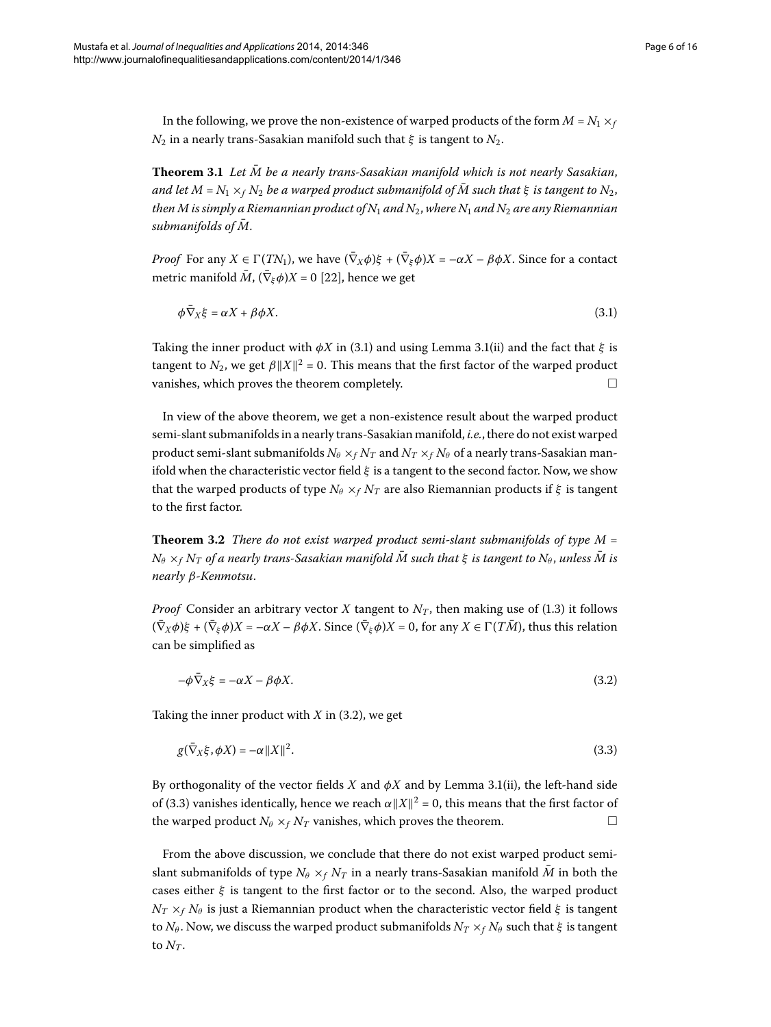In the following, we prove the non-existence of warped products of the form  $M = N_1 \times_f I$ *N*<sub>2</sub> in a nearly trans-Sasakian manifold such that  $\xi$  is tangent to  $N_2$ .

**Theorem 3.1** Let  $\overline{M}$  be a nearly trans-Sasakian manifold which is not nearly Sasakian, *and let*  $M = N_1 \times_f N_2$  *be a warped product submanifold of*  $\overline{M}$  *such that*  $\xi$  *is tangent to*  $N_2$ , *then M is simply a Riemannian product of N<sub>1</sub> and N<sub>2</sub>, where N<sub>1</sub> and N<sub>2</sub> are any Riemannian*  $submanifolds of M$ .

*Proof* For any  $X \in \Gamma(TN_1)$ , we have  $(\bar{\nabla}_X \phi) \xi + (\bar{\nabla}_\xi \phi) X = -\alpha X - \beta \phi X$ . Since for a contact metric manifold  $\overline{M}$ ,  $(\overline{\nabla}_{\xi}\phi)X = 0$  [22[\]](#page-14-19), hence we get

<span id="page-5-0"></span>
$$
\phi \bar{\nabla}_X \xi = \alpha X + \beta \phi X. \tag{3.1}
$$

Taking the inner product with  $\phi X$  in (3[.](#page-4-1)1) and using Lemma 3.1(ii) and the fact that  $\xi$  is tangent to  $N_2$ , we get  $\beta ||X||^2 = 0$ . This means that the first factor of the warped product vanishes, which proves the theorem completely.  $\Box$ 

In view of the above theorem, we get a non-existence result about the warped product semi-slant submanifolds in a nearly trans-Sasakian manifold, *i.e.*, there do not exist warped product semi-slant submanifolds  $N_\theta \times_f N_T$  and  $N_T \times_f N_\theta$  of a nearly trans-Sasakian manifold when the characteristic vector field *ξ* is a tangent to the second factor. Now, we show that the warped products of type  $N_\theta \times_f N_T$  are also Riemannian products if  $\xi$  is tangent to the first factor.

**Theorem 3.2** There do not exist warped product semi-slant submanifolds of type M =  $N_{\theta} \times_{f} N_{T}$  *of a nearly trans-Sasakian manifold*  $\overline{M}$  *such that*  $\xi$  *is tangent to*  $N_{\theta}$ , *unless*  $\overline{M}$  *is nearly β-Kenmotsu*.

*Proof* Consider an arbitrary vector *X* tangent to  $N_T$ , then making use of (1.3) it follows  $(\bar{\nabla}_{\bar{X}}\phi)\xi + (\bar{\nabla}_{\bar{\xi}}\phi)X = -\alpha X - \beta \phi X$ . Since  $(\bar{\nabla}_{\bar{\xi}}\phi)X = 0$ , for any  $X \in \Gamma(T\bar{M})$ , thus this relation can be simplified as

<span id="page-5-2"></span><span id="page-5-1"></span>
$$
-\phi \bar{\nabla}_X \xi = -\alpha X - \beta \phi X. \tag{3.2}
$$

Taking the inner product with  $X$  in  $(3.2)$ , we get

$$
g(\bar{\nabla}_X \xi, \phi X) = -\alpha ||X||^2. \tag{3.3}
$$

By orthogonality of the vector fields  $X$  and  $\phi X$  and by Lemma 3.1(ii), the left-hand side of (3.3) vanishes identically, hence we reach  $\alpha ||X||^2 = 0$ , this means that the first factor of the warped product  $N_\theta \times_f N_T$  vanishes, which proves the theorem.

From the above discussion, we conclude that there do not exist warped product semislant submanifolds of type  $N_\theta \times_f N_T$  in a nearly trans-Sasakian manifold  $\bar{M}$  in both the cases either *ξ* is tangent to the first factor or to the second. Also, the warped product *NT* ×*<sup>f</sup> N<sup>θ</sup>* is just a Riemannian product when the characteristic vector field *ξ* is tangent to  $N_{\theta}$ . Now, we discuss the warped product submanifolds  $N_T \times_f N_{\theta}$  such that  $\xi$  is tangent to  $N_T$ .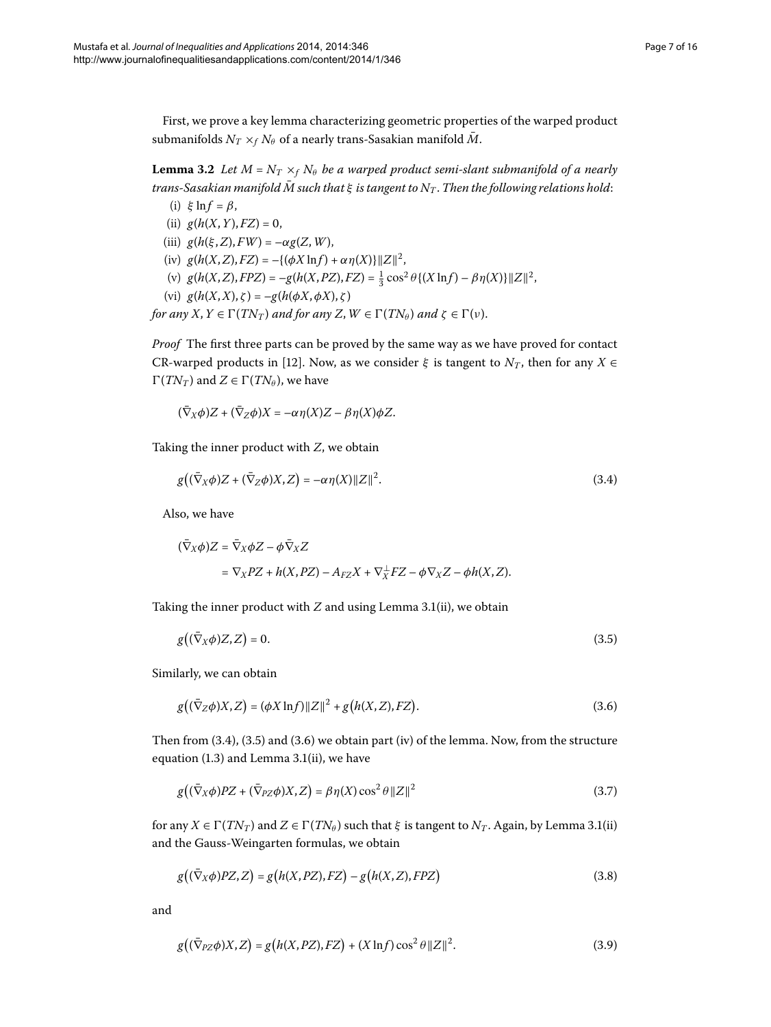<span id="page-6-6"></span>First, we prove a key lemma characterizing geometric properties of the warped product submanifolds  $N_T \times_f N_\theta$  of a nearly trans-Sasakian manifold  $\bar{M}$ .

**Lemma 3.2** Let  $M = N_T \times_f N_\theta$  be a warped product semi-slant submanifold of a nearly *trans-Sasakian manifold*  $\bar{M}$  *such that*  $\xi$  *is tangent to*  $N_T$ . *Then the following relations hold:* (i)  $\xi \ln f = \beta$ ,

- (ii)  $g(h(X, Y), FZ) = 0$ ,
- (iii)  $g(h(\xi, Z), FW) = -\alpha g(Z, W)$ ,
- (iv)  $g(h(X, Z), FZ) = -\{(\phi X \ln f) + \alpha \eta(X)\} ||Z||^2$ ,
- (v)  $g(h(X, Z), FPZ) = -g(h(X, PZ), FZ) = \frac{1}{3} \cos^2 \theta \{(X \ln f) \beta \eta(X)\} ||Z||^2$ ,
- (vi) *g*(*h*(*X*,*X*), *ζ* )=–*g*(*h*(*φX*,*φX*), *ζ* )

*for any X, Y*  $\in \Gamma(TN_T)$  *and for any Z, W*  $\in \Gamma(TN_\theta)$  *and*  $\zeta \in \Gamma(\nu)$ .

*Proof* The first three parts can be proved by the same way as we have proved for contact CR-warped products in [\[](#page-14-11)12]. Now, as we consider  $\xi$  is tangent to  $N_T$ , then for any  $X \in$  $\Gamma(TN_T)$  and  $Z \in \Gamma(TN_\theta)$ , we have

<span id="page-6-0"></span>
$$
(\bar{\nabla}_X \phi)Z + (\bar{\nabla}_Z \phi)X = -\alpha \eta(X)Z - \beta \eta(X)\phi Z.
$$

Taking the inner product with *Z*, we obtain

$$
g((\bar{\nabla}_X \phi)Z + (\bar{\nabla}_Z \phi)X, Z) = -\alpha \eta(X) ||Z||^2.
$$
\n(3.4)

Also, we have

<span id="page-6-2"></span><span id="page-6-1"></span>
$$
\begin{aligned} (\bar{\nabla}_X \phi) Z &= \bar{\nabla}_X \phi Z - \phi \bar{\nabla}_X Z \\ &= \nabla_X P Z + h(X, PZ) - A_{FZ} X + \nabla_X^{\perp} FZ - \phi \nabla_X Z - \phi h(X, Z). \end{aligned}
$$

Taking the inner product with  $Z$  and using Lemma 3[.](#page-4-1)1(ii), we obtain

<span id="page-6-3"></span>
$$
g((\bar{\nabla}_X \phi)Z, Z) = 0. \tag{3.5}
$$

Similarly, we can obtain

$$
g((\bar{\nabla}_Z \phi)X, Z) = (\phi X \ln f) \|Z\|^2 + g(h(X, Z), FZ).
$$
 (3.6)

Then from  $(3.4)$  $(3.4)$  $(3.4)$ ,  $(3.5)$  and  $(3.6)$  we obtain part (iv) of the lemma. Now, from the structure equation  $(1.3)$  $(1.3)$  $(1.3)$  and Lemma 3.1(ii), we have

<span id="page-6-5"></span><span id="page-6-4"></span>
$$
g((\bar{\nabla}_X \phi)PZ + (\bar{\nabla}_{PZ} \phi)X, Z) = \beta \eta(X) \cos^2 \theta \|Z\|^2
$$
\n(3.7)

for any  $X \in \Gamma(TN_T)$  and  $Z \in \Gamma(TN_\theta)$  such that  $\xi$  is tangent to  $N_T$ . Again, by Lemma 3.1(ii) and the Gauss-Weingarten formulas, we obtain

$$
g((\bar{\nabla}_X \phi)PZ, Z) = g(h(X, PZ), FZ) - g(h(X, Z), FPZ)
$$
\n(3.8)

and

$$
g\big((\bar{\nabla}_{PZ}\phi)X,Z\big) = g\big(h(X,PZ),FZ\big) + (X\ln f)\cos^2\theta \|Z\|^2. \tag{3.9}
$$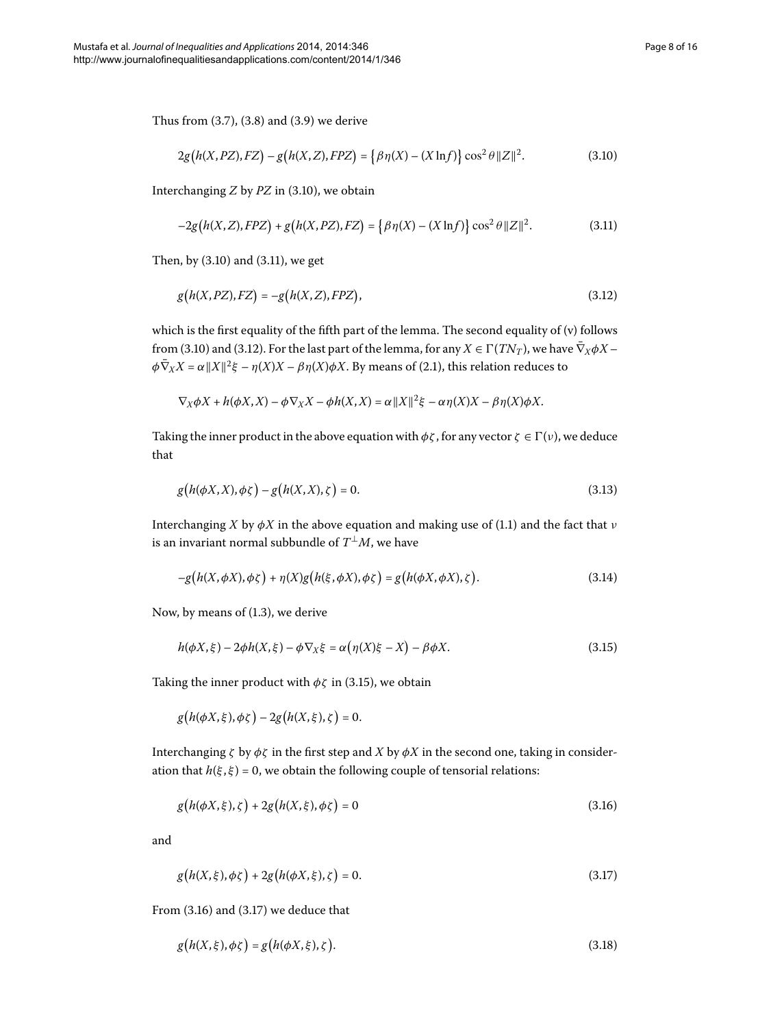Thus from  $(3.7)$ ,  $(3.8)$  and  $(3.9)$  we derive

<span id="page-7-2"></span><span id="page-7-1"></span><span id="page-7-0"></span>
$$
2g(h(X, PZ), FZ) - g(h(X, Z), FPZ) = \{\beta \eta(X) - (X \ln f)\} \cos^2 \theta \|Z\|^2.
$$
 (3.10)

Interchanging  $Z$  by  $PZ$  in (3[.](#page-7-0)10), we obtain

$$
-2g(h(X, Z), FPZ) + g(h(X, PZ), FZ) = \{\beta \eta(X) - (X \ln f)\} \cos^2 \theta ||Z||^2.
$$
 (3.11)

Then, by  $(3.10)$  $(3.10)$  $(3.10)$  and  $(3.11)$ , we get

$$
g(h(X, PZ), FZ) = -g(h(X, Z), FPZ),\tag{3.12}
$$

which is the first equality of the fifth part of the lemma. The second equality of (v) follows from (3[.](#page-7-2)10) and (3.12). For the last part of the lemma, for any  $X \in \Gamma(TN_T)$ , we have  $\bar{\nabla}_X \phi X$  –  $\phi \bar{\nabla}_X X = \alpha ||X||^2 \xi - \eta(X)X - \beta \eta(X) \phi X$ [.](#page-1-2) By means of (2.1), this relation reduces to

<span id="page-7-8"></span>
$$
\nabla_X \phi X + h(\phi X, X) - \phi \nabla_X X - \phi h(X, X) = \alpha ||X||^2 \xi - \alpha \eta(X)X - \beta \eta(X)\phi X.
$$

Taking the inner product in the above equation with  $\phi\zeta$ , for any vector  $\zeta \in \Gamma(\nu)$ , we deduce that

<span id="page-7-7"></span>
$$
g(h(\phi X, X), \phi \zeta) - g(h(X, X), \zeta) = 0.
$$
\n(3.13)

Interchanging *X* by  $\phi$ *X* in the above equation and making use of (1.1) and the fact that *ν* is an invariant normal subbundle of  $T^{\perp}M$ , we have

<span id="page-7-3"></span>
$$
-g\big(h(X,\phi X),\phi\zeta\big)+\eta(X)g\big(h(\xi,\phi X),\phi\zeta\big)=g\big(h(\phi X,\phi X),\zeta\big).
$$
\n(3.14)

Now, by means of  $(1.3)$ , we derive

<span id="page-7-4"></span>
$$
h(\phi X,\xi) - 2\phi h(X,\xi) - \phi \nabla_X \xi = \alpha \big( \eta(X)\xi - X \big) - \beta \phi X. \tag{3.15}
$$

Taking the inner product with  $\phi\zeta$  in (3.15), we obtain

 $g(h(\phi X, \xi), \phi \zeta) - 2g(h(X, \xi), \zeta) = 0.$ 

Interchanging *ζ* by  $\phi$ *ζ* in the first step and *X* by  $\phi$ *X* in the second one, taking in consideration that  $h(\xi, \xi) = 0$ , we obtain the following couple of tensorial relations:

<span id="page-7-6"></span><span id="page-7-5"></span>
$$
g(h(\phi X, \xi), \zeta) + 2g(h(X, \xi), \phi \zeta) = 0
$$
\n(3.16)

and

$$
g(h(X,\xi),\phi\zeta) + 2g(h(\phi X,\xi),\zeta) = 0.
$$
\n(3.17)

From  $(3.16)$  and  $(3.17)$  we deduce that

$$
g(h(X,\xi),\phi\zeta) = g(h(\phi X,\xi),\zeta). \tag{3.18}
$$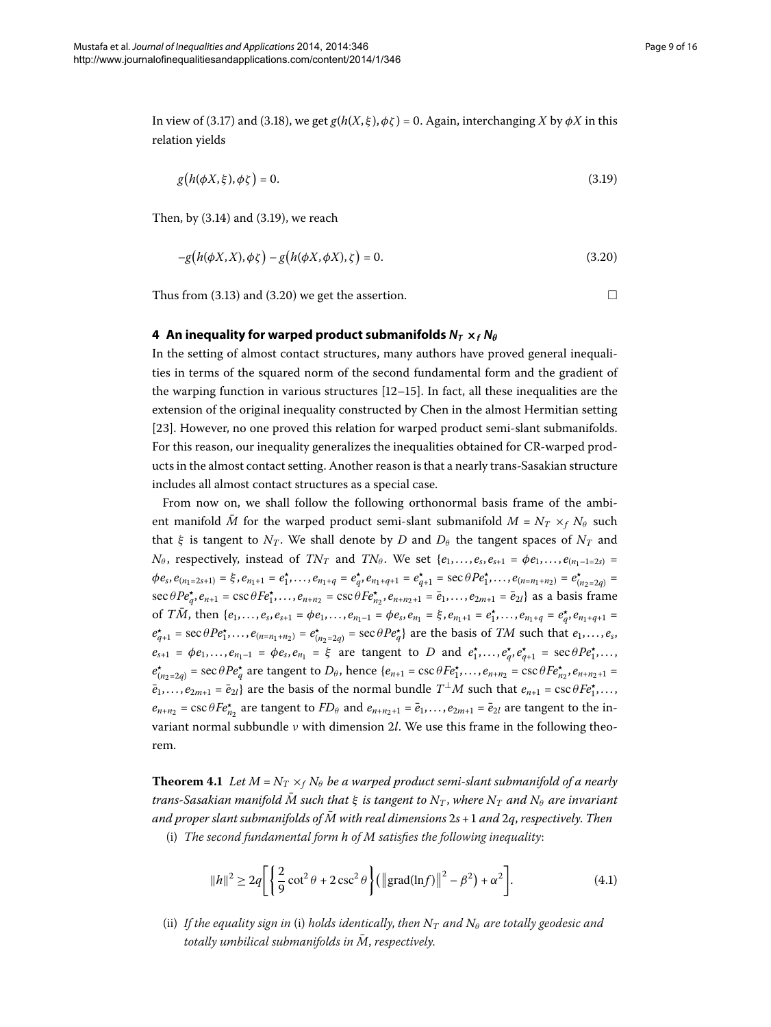In view of (3.17) and (3.18), we get  $g(h(X, \xi), \phi\zeta) = 0$ . Again, interchanging *X* by  $\phi X$  in this relation yields

$$
g(h(\phi X, \xi), \phi \zeta) = 0. \tag{3.19}
$$

<span id="page-8-0"></span>Then, by  $(3.14)$  $(3.14)$  $(3.14)$  and  $(3.19)$ , we reach

$$
-g(h(\phi X, X), \phi \zeta) - g(h(\phi X, \phi X), \zeta) = 0.
$$
\n(3.20)

Thus from (3[.](#page-8-2)13) and (3.20) we get the assertion.  $\Box$ 

<span id="page-8-2"></span><span id="page-8-1"></span>

## **4** An inequality for warped product submanifolds  $N_T \times_f N_\theta$

In the setting of almost contact structures, many authors have proved general inequalities in terms of the squared norm of the second fundamental form and the gradient of the warping function in various structures  $[12–15]$  $[12–15]$  $[12–15]$ . In fact, all these inequalities are the extension of the original inequality constructed by Chen in the almost Hermitian setting [23[\]](#page-14-20). However, no one proved this relation for warped product semi-slant submanifolds. For this reason, our inequality generalizes the inequalities obtained for CR-warped products in the almost contact setting. Another reason is that a nearly trans-Sasakian structure includes all almost contact structures as a special case.

From now on, we shall follow the following orthonormal basis frame of the ambient manifold *M* for the warped product semi-slant submanifold  $M = N_T \times_f N_\theta$  such that *ξ* is tangent to  $N_T$ . We shall denote by *D* and  $D_\theta$  the tangent spaces of  $N_T$  and  $N_{\theta}$ , respectively, instead of  $TN_T$  and  $TN_{\theta}$ . We set  $\{e_1,\ldots,e_s,e_{s+1} = \phi e_1,\ldots,e_{(n_1-1-2s)} =$  $\phi e_s, e_{(n_1=2s+1)} = \xi, e_{n_1+1} = e_1^{\star}, \ldots, e_{n_1+q} = e_q^{\star}, e_{n_1+q+1} = e_{q+1}^{\star} = \sec \theta P e_1^{\star}, \ldots, e_{(n=n_1+n_2)} = e_{(n_2-2q)}^{\star} =$  $\sec \theta Pe_q^*$ ,  $e_{n+1} = \csc \theta Fe_1^*$ , ...,  $e_{n+n_2} = \csc \theta Fe_{n_2}^*$ ,  $e_{n+n_2+1} = \bar{e}_1$ , ...,  $e_{2m+1} = \bar{e}_{2l}$  as a basis frame of TM, then  $\{e_1,\ldots,e_s,e_{s+1}=\phi e_1,\ldots,e_{n_1-1}=\phi e_s,e_{n_1}=\xi,e_{n_1+1}=e_1^{\star},\ldots,e_{n_1+q}=e_q^{\star},e_{n_1+q+1}=e_q^{\star},e_{n_1+q+1}=e_q^{\star},e_{n_1+q+1}=e_q^{\star},e_{n_1+q+1}=e_q^{\star},e_{n_1+q+1}=e_q^{\star},e_{n_1+q+1}=e_q^{\star},e_{n_1+q+1}=e_q^{\star},e_{n_1+q+1}=e_q^{\star},e_{n_$  $e^*_{q+1}$  = sec  $\theta P e^*_1, \ldots, e_{(n=n_1+n_2)} = e^*_{(n_2=2q)}$  = sec  $\theta P e^*_q$  are the basis of *TM* such that  $e_1, \ldots, e_s$  $e_{s+1} = \phi e_1, \ldots, e_{n_1-1} = \phi e_s, e_{n_1} = \xi$  are tangent to *D* and  $e_1^*, \ldots, e_q^*, e_{q+1}^* = \text{sec } \theta P e_1^*, \ldots$  $e^*_{(n_2=2q)}$  = sec  $\theta Pe^*_{q}$  are tangent to  $D_{\theta}$ , hence  $\{e_{n+1} = \csc \theta Fe^*_{1}, \ldots, e_{n+n_2} = \csc \theta Fe^*_{n_2}, e_{n+n_2+1} =$  $\overline{e}_1, \ldots, e_{2m+1} = \overline{e}_{2l}$  are the basis of the normal bundle  $T^{\perp}M$  such that  $e_{n+1} = \csc \theta F e_1^{\star}, \ldots$  $e_{n+n_2} = \csc \theta F e_{n_2}^*$  are tangent to  $FD_\theta$  and  $e_{n+n_2+1} = \overline{e}_{1}, \ldots, e_{2m+1} = \overline{e}_{2l}$  are tangent to the invariant normal subbundle *ν* with dimension *l*. We use this frame in the following theorem.

**Theorem 4.1** Let  $M = N_T \times_f N_\theta$  be a warped product semi-slant submanifold of a nearly *trans-Sasakian manifold*  $\overline{M}$  *such that*  $\xi$  *is tangent to*  $N_T$ *, where*  $N_T$  *and*  $N_\theta$  *are invariant and proper slant submanifolds of*  $\overline{M}$  with real dimensions  $2s + 1$  and  $2q$ , respectively. Then

(i) *The second fundamental form h of M satisfies the following inequality*:

<span id="page-8-3"></span>
$$
||h||^{2} \ge 2q \left[ \left\{ \frac{2}{9} \cot^{2} \theta + 2 \csc^{2} \theta \right\} (||\text{grad}(\ln f)||^{2} - \beta^{2}) + \alpha^{2} \right].
$$
 (4.1)

(ii) If the equality sign in (i) holds identically, then  $N_T$  and  $N_\theta$  are totally geodesic and *totally umbilical submanifolds in*  $\overline{M}$ *, respectively.*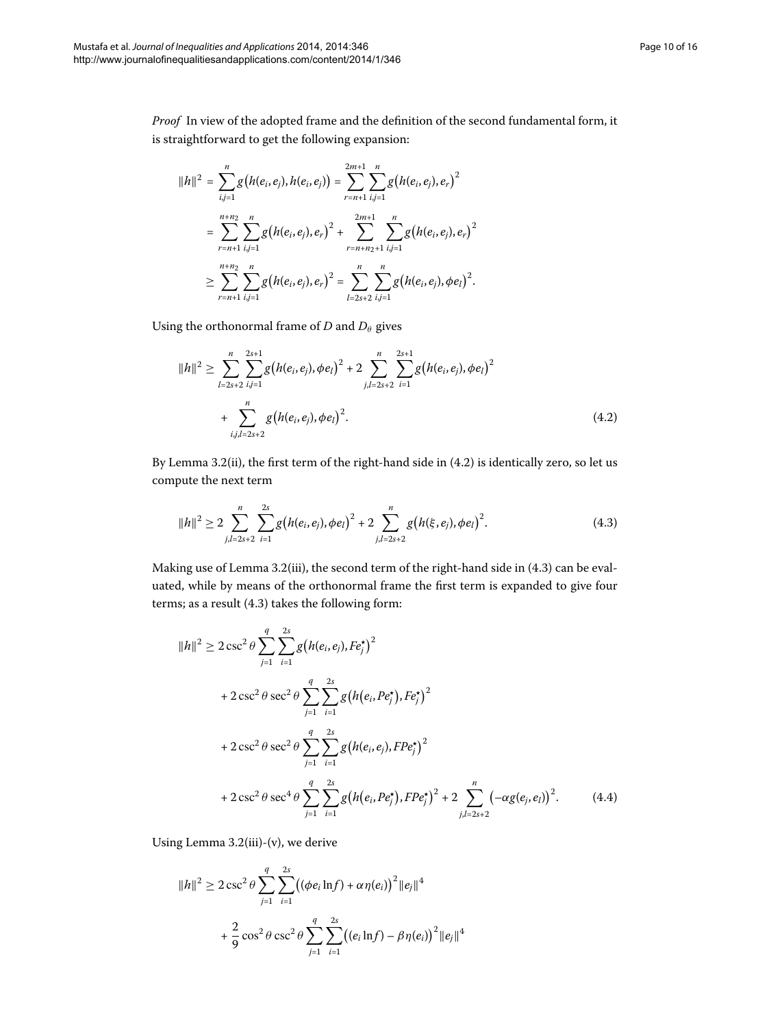*Proof* In view of the adopted frame and the definition of the second fundamental form, it is straightforward to get the following expansion:

$$
||h||^2 = \sum_{i,j=1}^n g(h(e_i, e_j), h(e_i, e_j)) = \sum_{r=n+1}^{2m+1} \sum_{i,j=1}^n g(h(e_i, e_j), e_r)^2
$$
  
= 
$$
\sum_{r=n+1}^{n+n_2} \sum_{i,j=1}^n g(h(e_i, e_j), e_r)^2 + \sum_{r=n+n_2+1}^{2m+1} \sum_{i,j=1}^n g(h(e_i, e_j), e_r)^2
$$
  

$$
\geq \sum_{r=n+1}^{n+n_2} \sum_{i,j=1}^n g(h(e_i, e_j), e_r)^2 = \sum_{l=2s+2}^{n} \sum_{i,j=1}^n g(h(e_i, e_j), \phi e_l)^2.
$$

<span id="page-9-0"></span>Using the orthonormal frame of *D* and  $D_\theta$  gives

<span id="page-9-1"></span>
$$
||h||^{2} \geq \sum_{l=2s+2}^{n} \sum_{i,j=1}^{2s+1} g(h(e_{i}, e_{j}), \phi e_{l})^{2} + 2 \sum_{j,l=2s+2}^{n} \sum_{i=1}^{2s+1} g(h(e_{i}, e_{j}), \phi e_{l})^{2} + \sum_{i,j,l=2s+2}^{n} g(h(e_{i}, e_{j}), \phi e_{l})^{2}.
$$
\n(4.2)

By Lemma 3[.](#page-9-0)2(ii), the first term of the right-hand side in  $(4.2)$  is identically zero, so let us compute the next term

$$
||h||^2 \geq 2 \sum_{j,l=2s+2}^n \sum_{i=1}^{2s} g\big(h(e_i,e_j),\phi e_l\big)^2 + 2 \sum_{j,l=2s+2}^n g\big(h(\xi,e_j),\phi e_l\big)^2.
$$
 (4.3)

Making use of Lemma 3[.](#page-6-6)2(iii), the second term of the right-hand side in (4.3) can be evaluated, while by means of the orthonormal frame the first term is expanded to give four terms; as a result  $(4.3)$  $(4.3)$  $(4.3)$  takes the following form:

$$
||h||^{2} \ge 2 \csc^{2} \theta \sum_{j=1}^{q} \sum_{i=1}^{2s} g(h(e_{i}, e_{j}), F e_{j}^{*})^{2}
$$
  
+  $2 \csc^{2} \theta \sec^{2} \theta \sum_{j=1}^{q} \sum_{i=1}^{2s} g(h(e_{i}, P e_{j}^{*}), F e_{j}^{*})^{2}$   
+  $2 \csc^{2} \theta \sec^{2} \theta \sum_{j=1}^{q} \sum_{i=1}^{2s} g(h(e_{i}, e_{j}), F P e_{j}^{*})^{2}$   
+  $2 \csc^{2} \theta \sec^{4} \theta \sum_{j=1}^{q} \sum_{i=1}^{2s} g(h(e_{i}, P e_{j}^{*}), F P e_{j}^{*})^{2} + 2 \sum_{j,l=2s+2}^{n} (-\alpha g(e_{j}, e_{l}))^{2}.$  (4.4)

Using Lemma  $3.2(iii)-(v)$ , we derive

$$
||h||^2 \ge 2 \csc^2 \theta \sum_{j=1}^q \sum_{i=1}^{2s} ((\phi e_i \ln f) + \alpha \eta(e_i))^2 ||e_j||^4
$$
  
+  $\frac{2}{9} \cos^2 \theta \csc^2 \theta \sum_{j=1}^q \sum_{i=1}^{2s} ((e_i \ln f) - \beta \eta(e_i))^2 ||e_j||^4$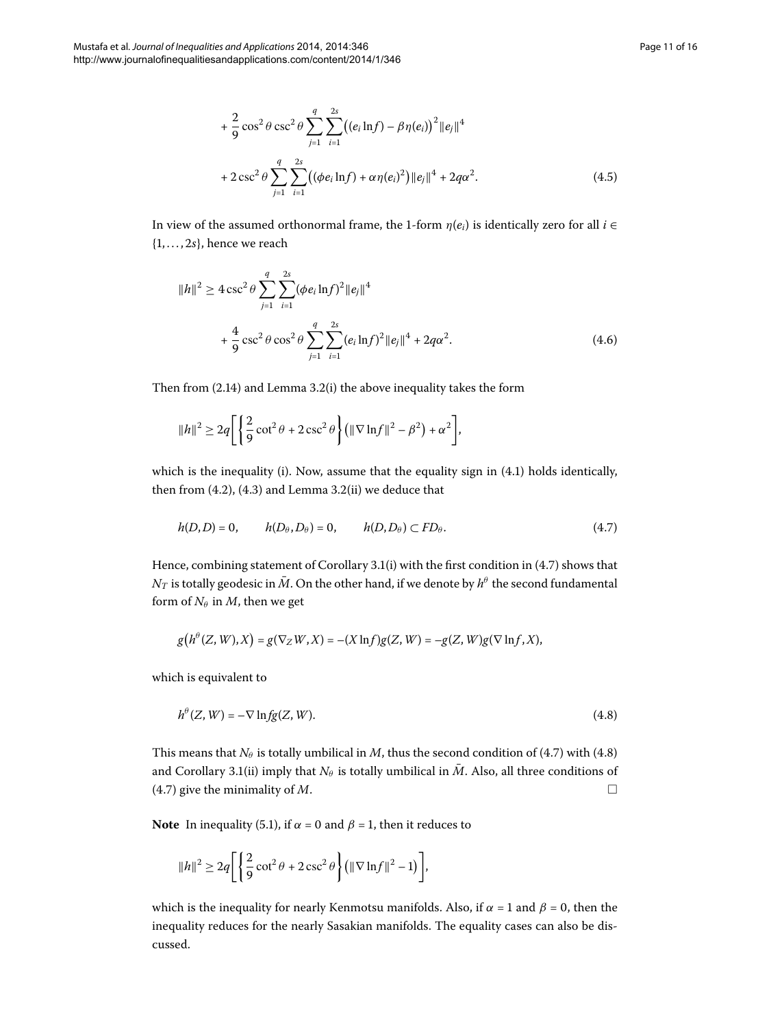$$
+\frac{2}{9}\cos^2\theta\csc^2\theta\sum_{j=1}^q\sum_{i=1}^{2s}((e_i\ln f)-\beta\eta(e_i))^2\|e_j\|^4
$$
  
+2\csc<sup>2</sup>  $\theta\sum_{j=1}^q\sum_{i=1}^{2s}((\phi e_i\ln f)+\alpha\eta(e_i)^2)\|e_j\|^4+2q\alpha^2.$  (4.5)

In view of the assumed orthonormal frame, the 1-form  $\eta(e_i)$  is identically zero for all *i* ∈  $\{1, \ldots, 2s\}$ , hence we reach

$$
||h||^{2} \ge 4 \csc^{2} \theta \sum_{j=1}^{q} \sum_{i=1}^{2s} (\phi e_{i} \ln f)^{2} ||e_{j}||^{4}
$$
  
+ 
$$
\frac{4}{9} \csc^{2} \theta \cos^{2} \theta \sum_{j=1}^{q} \sum_{i=1}^{2s} (e_{i} \ln f)^{2} ||e_{j}||^{4} + 2q\alpha^{2}.
$$
 (4.6)

Then from  $(2.14)$  and Lemma 3.2(i) the above inequality takes the form

<span id="page-10-0"></span>
$$
||h||^2 \ge 2q \left[ \left\{ \frac{2}{9} \cot^2 \theta + 2 \csc^2 \theta \right\} \left( ||\nabla \ln f||^2 - \beta^2 \right) + \alpha^2 \right],
$$

which is the inequality (i). Now, assume that the equality sign in  $(4.1)$  holds identically, then from  $(4.2)$  $(4.2)$  $(4.2)$ ,  $(4.3)$  and Lemma 3.2(ii) we deduce that

$$
h(D,D) = 0, \qquad h(D_{\theta}, D_{\theta}) = 0, \qquad h(D, D_{\theta}) \subset FD_{\theta}.
$$
 (4.7)

Hence, combining statement of Corollary 3.1(i) with the first condition in  $(4.7)$  shows that  $N_T$  is totally geodesic in  $\overline{M}$ . On the other hand, if we denote by  $h^{\theta}$  the second fundamental form of  $N_\theta$  in  $M$ , then we get

<span id="page-10-1"></span>
$$
g\big(h^{\theta}(Z,W),X\big)=g(\nabla_ZW,X)=-(X\ln f)g(Z,W)=-g(Z,W)g(\nabla\ln f,X),
$$

which is equivalent to

$$
h^{\theta}(Z, W) = -\nabla \ln f g(Z, W). \tag{4.8}
$$

This means that  $N_\theta$  is totally umbilical in *M*, thus the second condition of (4.7) with (4.8) and Corollary 3[.](#page-4-3)1(ii) imply that  $N_\theta$  is totally umbilical in  $\bar{M}$ . Also, all three conditions of  $(4.7)$  $(4.7)$  $(4.7)$  give the minimality of *M*.

**Note** In inequality (5.1), if  $\alpha = 0$  and  $\beta = 1$ , then it reduces to

$$
||h||^2 \ge 2q \left[ \left\{ \frac{2}{9} \cot^2 \theta + 2 \csc^2 \theta \right\} \left( ||\nabla \ln f||^2 - 1 \right) \right],
$$

which is the inequality for nearly Kenmotsu manifolds. Also, if  $\alpha = 1$  and  $\beta = 0$ , then the inequality reduces for the nearly Sasakian manifolds. The equality cases can also be discussed.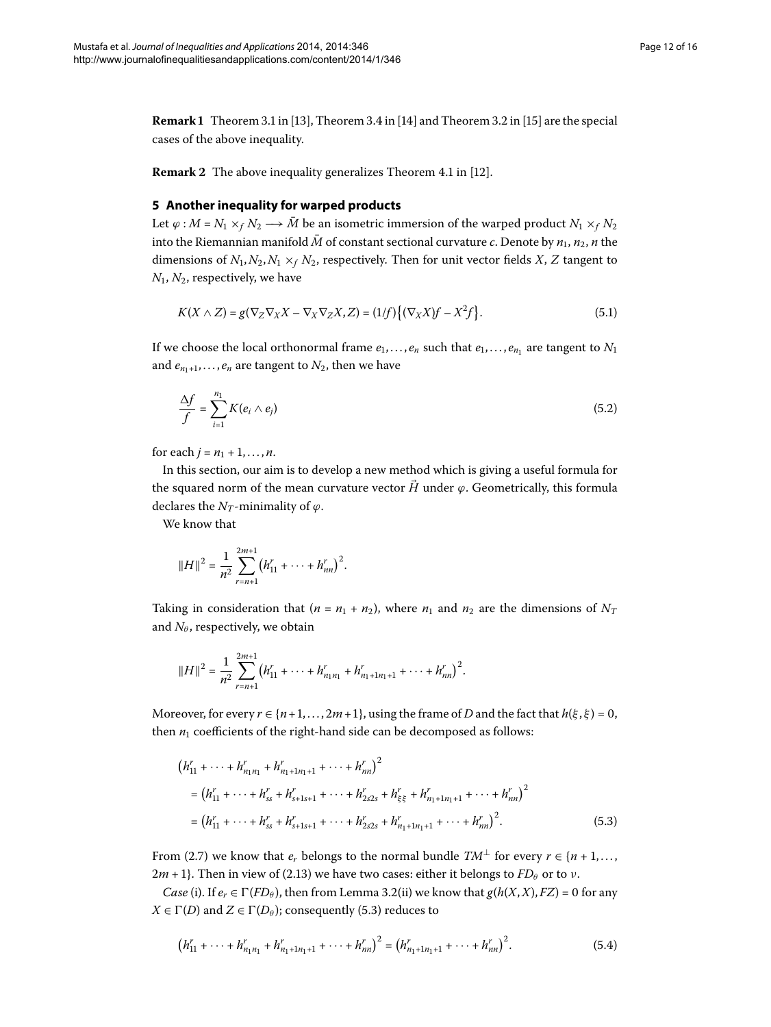<span id="page-11-0"></span>**Remark 1** Theorem 3.1 in [13[\]](#page-14-12), Theorem 3.4 in [\[](#page-14-22)14] and Theorem 3.2 in [15] are the special cases of the above inequality.

**Remark 2** The above inequality generalizes Theorem 4.1 in [\[](#page-14-11)12].

## **5 Another inequality for warped products**

Let  $\varphi$  : *M* = *N*<sub>1</sub> ×*f N*<sub>2</sub> →  $\overline{M}$  be an isometric immersion of the warped product  $N_1 \times_f N_2$ into the Riemannian manifold  $\bar{M}$  of constant sectional curvature *c*. Denote by  $n_1$ ,  $n_2$ , *n* the dimensions of  $N_1, N_2, N_1 \times_f N_2$ , respectively. Then for unit vector fields *X*, *Z* tangent to  $N_1$ ,  $N_2$ , respectively, we have

<span id="page-11-1"></span>
$$
K(X \wedge Z) = g(\nabla_Z \nabla_X X - \nabla_X \nabla_Z X, Z) = (1/f)\big\{(\nabla_X X)f - X^2f\big\}.
$$
\n(5.1)

If we choose the local orthonormal frame  $e_1, \ldots, e_n$  such that  $e_1, \ldots, e_n$  are tangent to  $N_1$ and  $e_{n_1+1},..., e_n$  are tangent to  $N_2$ , then we have

$$
\frac{\Delta f}{f} = \sum_{i=1}^{n_1} K(e_i \wedge e_j) \tag{5.2}
$$

for each  $j = n_1 + 1, ..., n$ .

In this section, our aim is to develop a new method which is giving a useful formula for the squared norm of the mean curvature vector  $\vec{H}$  under  $\varphi$ . Geometrically, this formula declares the  $N_T$ -minimality of  $\varphi$ .

We know that

$$
||H||^2 = \frac{1}{n^2} \sum_{r=n+1}^{2m+1} (h_{11}^r + \dots + h_{nn}^r)^2.
$$

Taking in consideration that  $(n = n_1 + n_2)$ , where  $n_1$  and  $n_2$  are the dimensions of  $N_T$ and  $N_\theta$ , respectively, we obtain

<span id="page-11-2"></span>
$$
||H||^2 = \frac{1}{n^2} \sum_{r=n+1}^{2m+1} (h_{11}^r + \cdots + h_{n_1n_1}^r + h_{n_1+1n_1+1}^r + \cdots + h_{nn}^r)^2.
$$

Moreover, for every  $r \in \{n+1, ..., 2m+1\}$ , using the frame of *D* and the fact that  $h(\xi, \xi) = 0$ , then  $n_1$  coefficients of the right-hand side can be decomposed as follows:

<span id="page-11-3"></span>
$$
(h_{11}^r + \dots + h_{n_1 n_1}^r + h_{n_1+1 n_1+1}^r + \dots + h_{nn}^r)^2
$$
  
=  $(h_{11}^r + \dots + h_{ss}^r + h_{s+1 s+1}^r + \dots + h_{2s2s}^r + h_{\xi\xi}^r + h_{n_1+1 n_1+1}^r + \dots + h_{nn}^r)^2$   
=  $(h_{11}^r + \dots + h_{ss}^r + h_{s+1 s+1}^r + \dots + h_{2s2s}^r + h_{n_1+1 n_1+1}^r + \dots + h_{nn}^r)^2$ . (5.3)

From (2.7) we know that  $e_r$  belongs to the normal bundle  $TM^{\perp}$  for every  $r \in \{n+1,\ldots,$  $2m + 1$ . Then in view of (2.13) we have two cases: either it belongs to  $FD_\theta$  or to *ν*.

*Case* (i)[.](#page-6-6) If  $e_r \in \Gamma(FD_\theta)$ , then from Lemma 3.2(ii) we know that  $g(h(X, X), FZ) = 0$  for any *X* ∈  $\Gamma$ (*D*) and *Z* ∈  $\Gamma$ (*D*<sub>*θ*</sub>); consequently (5.3) reduces to

$$
(h_{11}^r + \dots + h_{n_1n_1}^r + h_{n_1+1n_1+1}^r + \dots + h_{nn}^r)^2 = (h_{n_1+1n_1+1}^r + \dots + h_{nn}^r)^2.
$$
 (5.4)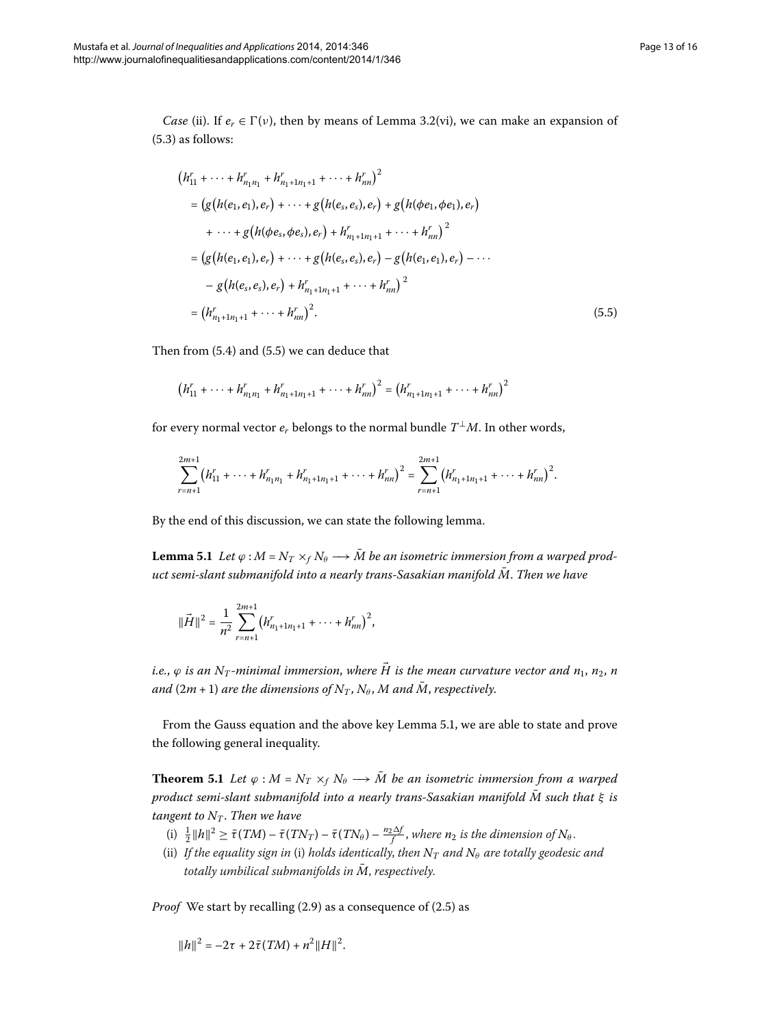*Case* (ii). If  $e_r \in \Gamma(\nu)$ , then by means of Lemma 3.2(vi), we can make an expansion of  $(5.3)$  as follows:

<span id="page-12-0"></span>
$$
(h_{11}^r + \dots + h_{n_1n_1}^r + h_{n_1+1n_1+1}^r + \dots + h_{nn}^r)^2
$$
  
=  $(g(h(e_1, e_1), e_r) + \dots + g(h(e_s, e_s), e_r) + g(h(\phi e_1, \phi e_1), e_r)$   
+  $\dots + g(h(\phi e_s, \phi e_s), e_r) + h_{n_1+1n_1+1}^r + \dots + h_{nn}^r)^2$   
=  $(g(h(e_1, e_1), e_r) + \dots + g(h(e_s, e_s), e_r) - g(h(e_1, e_1), e_r) - \dots$   
-  $g(h(e_s, e_s), e_r) + h_{n_1+1n_1+1}^r + \dots + h_{nn}^r)^2$   
=  $(h_{n_1+1n_1+1}^r + \dots + h_{nn}^r)^2$ . (5.5)

Then from  $(5.4)$  and  $(5.5)$  we can deduce that

$$
(h_{11}^r + \cdots + h_{n_1n_1}^r + h_{n_1+1n_1+1}^r + \cdots + h_{nn}^r)^2 = (h_{n_1+1n_1+1}^r + \cdots + h_{nn}^r)^2
$$

<span id="page-12-1"></span>for every normal vector  $e_r$  belongs to the normal bundle  $T^{\perp}M$ . In other words,

$$
\sum_{r=n+1}^{2m+1} (h_{11}^r + \cdots + h_{n_1n_1}^r + h_{n_1+1n_1+1}^r + \cdots + h_{nn}^r)^2 = \sum_{r=n+1}^{2m+1} (h_{n_1+1n_1+1}^r + \cdots + h_{nn}^r)^2.
$$

By the end of this discussion, we can state the following lemma.

**Lemma 5.1** Let  $\varphi$  :  $M = N_T \times_f N_\theta \longrightarrow \overline{M}$  be an isometric immersion from a warped prod*uct semi-slant submanifold into a nearly trans-Sasakian manifold*  $\overline{M}$ . Then we have

$$
\|\vec{H}\|^2 = \frac{1}{n^2} \sum_{r=n+1}^{2m+1} \left(h_{n_1+1 n_1+1}^r + \cdots + h_{nn}^r\right)^2,
$$

*i.e.*,  $\varphi$  *is an*  $N_T$ -minimal immersion, where  $\vec{H}$  is the mean curvature vector and  $n_1$ ,  $n_2$ , n *and*  $(2m + 1)$  *are the dimensions of*  $N_T$ ,  $N_\theta$ , *M and*  $\overline{M}$ , *respectively.* 

From the Gauss equation and the above key Lemma 5[.](#page-12-1)1, we are able to state and prove the following general inequality.

**Theorem 5.1** Let  $\varphi : M = N_T \times_f N_\theta \longrightarrow \overline{M}$  be an isometric immersion from a warped *product semi-slant submanifold into a nearly trans-Sasakian manifold*  $\overline{M}$  *such that*  $\xi$  *is tangent to*  $N_T$ *. Then we have* 

- $\int$   $\frac{1}{2} ||h||^2 \ge \bar{\tau}(TM) \bar{\tau}(TN_T) \bar{\tau}(TN_\theta) \frac{n_2\Delta f}{f}$ , where  $n_2$  is the dimension of  $N_\theta$ .
- (ii) If the equality sign in (i) holds identically, then  $N_T$  and  $N_\theta$  are totally geodesic and *totally umbilical submanifolds in M, respectively.*

*Proof* We start by recalling (2.9) as a consequence of (2.5) as

$$
||h||^2 = -2\tau + 2\bar{\tau}(TM) + n^2||H||^2.
$$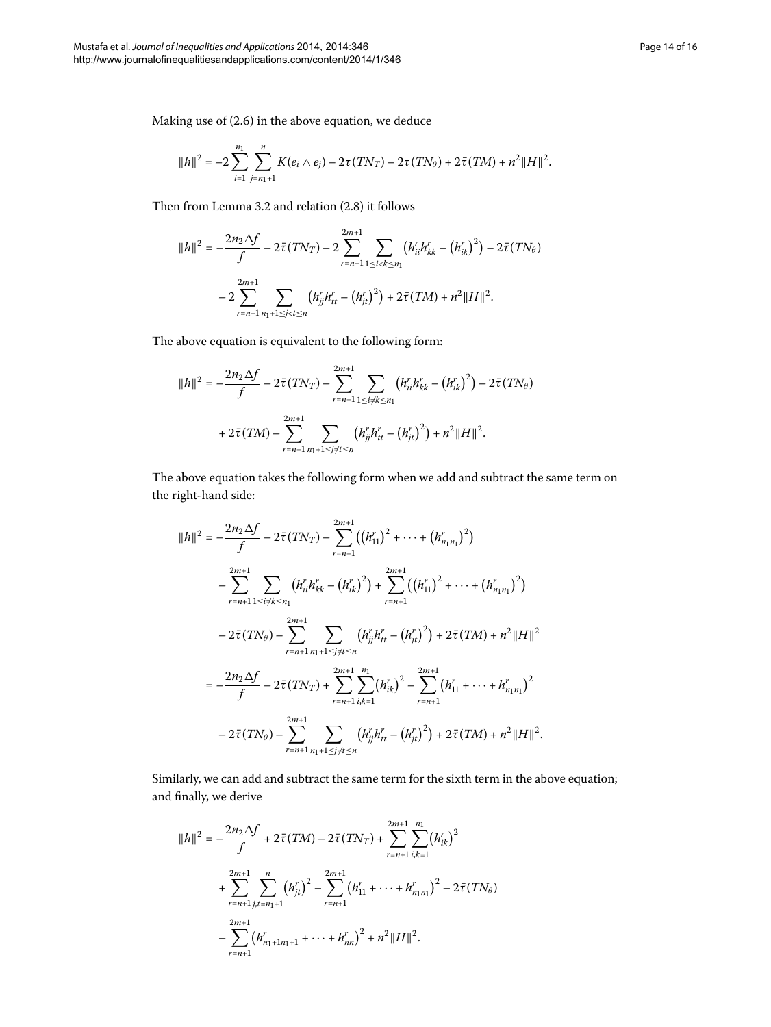Making use of  $(2.6)$  $(2.6)$  $(2.6)$  in the above equation, we deduce

$$
||h||^2 = -2 \sum_{i=1}^{n_1} \sum_{j=n_1+1}^n K(e_i \wedge e_j) - 2\tau(TN_T) - 2\tau(TN_{\theta}) + 2\bar{\tau}(TM) + n^2 ||H||^2.
$$

Then from Lemma 3[.](#page-3-3)2 and relation  $(2.8)$  it follows

$$
||h||^2 = -\frac{2n_2\Delta f}{f} - 2\bar{\tau}(TN_T) - 2\sum_{r=n+1}^{2m+1} \sum_{1 \le i < k \le n_1} \left(h_{ii}^r h_{kk}^r - \left(h_{ik}^r\right)^2\right) - 2\bar{\tau}(TN_\theta)
$$

$$
-2\sum_{r=n+1}^{2m+1} \sum_{n_1+1 \le j < t \le n} \left(h_{jj}^r h_{tt}^r - \left(h_{jt}^r\right)^2\right) + 2\bar{\tau}(TM) + n^2 ||H||^2.
$$

The above equation is equivalent to the following form:

$$
||h||^2 = -\frac{2n_2\Delta f}{f} - 2\bar{\tau}(TN_T) - \sum_{r=n+1}^{2m+1} \sum_{1 \le i \ne k \le n_1} (h_{ii}^r h_{kk}^r - (h_{ik}^r)^2) - 2\bar{\tau}(TN_\theta) + 2\bar{\tau}(TM) - \sum_{r=n+1}^{2m+1} \sum_{n_1+1 \le j \ne t \le n} (h_{jj}^r h_{tt}^r - (h_{jt}^r)^2) + n^2 ||H||^2.
$$

The above equation takes the following form when we add and subtract the same term on the right-hand side:

$$
||h||^{2} = -\frac{2n_{2}\Delta f}{f} - 2\bar{\tau}(TN_{T}) - \sum_{r=n+1}^{2m+1} ((h_{11}^{r})^{2} + \cdots + (h_{n_{1}n_{1}}^{r})^{2})
$$
  

$$
-\sum_{r=n+1}^{2m+1} \sum_{1 \leq i \neq k \leq n_{1}} (h_{ii}^{r} h_{kk}^{r} - (h_{ik}^{r})^{2}) + \sum_{r=n+1}^{2m+1} ((h_{11}^{r})^{2} + \cdots + (h_{n_{1}n_{1}}^{r})^{2})
$$
  

$$
-2\bar{\tau}(TN_{\theta}) - \sum_{r=n+1}^{2m+1} \sum_{n_{1}+1 \leq j \neq t \leq n} (h_{jj}^{r} h_{tt}^{r} - (h_{jt}^{r})^{2}) + 2\bar{\tau}(TM) + n^{2}||H||^{2}
$$
  

$$
= -\frac{2n_{2}\Delta f}{f} - 2\bar{\tau}(TN_{T}) + \sum_{r=n+1}^{2m+1} \sum_{i,k=1}^{n_{1}} (h_{ik}^{r})^{2} - \sum_{r=n+1}^{2m+1} (h_{i1}^{r} + \cdots + h_{n_{1}n_{1}}^{r})^{2}
$$
  

$$
-2\bar{\tau}(TN_{\theta}) - \sum_{r=n+1}^{2m+1} \sum_{n_{1}+1 \leq j \neq t \leq n} (h_{jj}^{r} h_{tt}^{r} - (h_{jt}^{r})^{2}) + 2\bar{\tau}(TM) + n^{2}||H||^{2}.
$$

Similarly, we can add and subtract the same term for the sixth term in the above equation; and finally, we derive

$$
||h||^{2} = -\frac{2n_{2}\Delta f}{f} + 2\bar{\tau}(TM) - 2\bar{\tau}(TN_{T}) + \sum_{r=n+1}^{2m+1} \sum_{i,k=1}^{n_{1}} (h_{ik}^{r})^{2}
$$
  
+ 
$$
\sum_{r=n+1}^{2m+1} \sum_{j,t=n_{1}+1}^{n} (h_{jt}^{r})^{2} - \sum_{r=n+1}^{2m+1} (h_{11}^{r} + \dots + h_{n_{1}n_{1}}^{r})^{2} - 2\bar{\tau}(TN_{\theta})
$$
  
- 
$$
\sum_{r=n+1}^{2m+1} (h_{n_{1}+1n_{1}+1}^{r} + \dots + h_{nn}^{r})^{2} + n^{2}||H||^{2}.
$$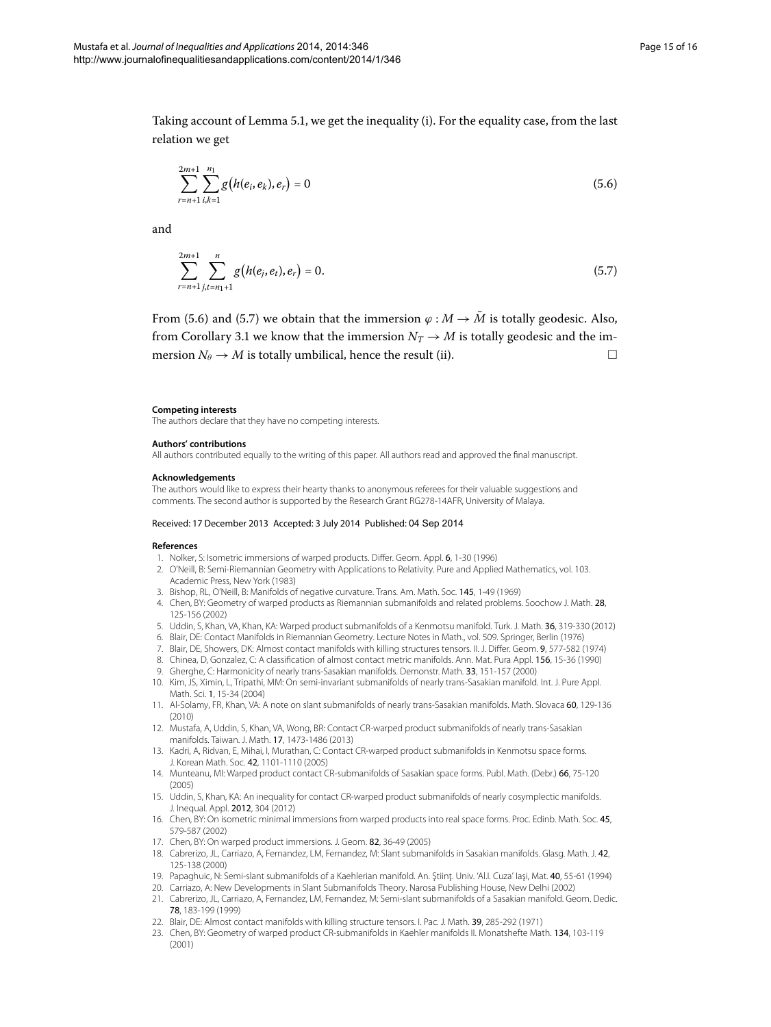Taking account of Lemma 5.1, we get the inequality (i). For the equality case, from the last relation we get

<span id="page-14-24"></span><span id="page-14-23"></span>
$$
\sum_{r=n+1}^{2m+1} \sum_{i,k=1}^{n_1} g\big(h(e_i, e_k), e_r\big) = 0 \tag{5.6}
$$

and

$$
\sum_{r=n+1}^{2m+1} \sum_{j,t=n_1+1}^{n} g\big(h(e_j,e_t),e_r\big) = 0. \tag{5.7}
$$

From (5[.](#page-14-23)6) and (5.7) we obtain that the immersion  $\varphi : M \to \overline{M}$  is totally geodesic. Also, from Corollary 3[.](#page-4-3)1 we know that the immersion  $N_T \rightarrow M$  is totally geodesic and the immersion  $N_{\theta} \rightarrow M$  is totally umbilical, hence the result (ii).

#### **Competing interests**

The authors declare that they have no competing interests.

#### <span id="page-14-0"></span>**Authors' contributions**

<span id="page-14-1"></span>All authors contributed equally to the writing of this paper. All authors read and approved the final manuscript.

#### <span id="page-14-2"></span>**Acknowledgements**

<span id="page-14-3"></span>The authors would like to express their hearty thanks to anonymous referees for their valuable suggestions and comments. The second author is supported by the Research Grant RG278-14AFR, University of Malaya.

#### <span id="page-14-6"></span><span id="page-14-5"></span><span id="page-14-4"></span>Received: 17 December 2013 Accepted: 3 July 2014 Published: 04 Sep 2014

#### <span id="page-14-9"></span><span id="page-14-8"></span><span id="page-14-7"></span>**References**

- 1. Nolker, S: Isometric immersions of warped products. Differ. Geom. Appl. 6, 1-30 (1996)
- 2. O'Neill, B: Semi-Riemannian Geometry with Applications to Relativity. Pure and Applied Mathematics, vol. 103. Academic Press, New York (1983)
- <span id="page-14-10"></span>3. Bishop, RL, O'Neill, B: Manifolds of negative curvature. Trans. Am. Math. Soc. 145, 1-49 (1969)
- <span id="page-14-11"></span>4. Chen, BY: Geometry of warped products as Riemannian submanifolds and related problems. Soochow J. Math. 28, 125-156 (2002)
- 5. Uddin, S, Khan, VA, Khan, KA: Warped product submanifolds of a Kenmotsu manifold. Turk. J. Math. 36, 319-330 (2012)
- <span id="page-14-21"></span>6. Blair, DE: Contact Manifolds in Riemannian Geometry. Lecture Notes in Math., vol. 509. Springer, Berlin (1976)
- 7. Blair, DE, Showers, DK: Almost contact manifolds with killing structures tensors. II. J. Differ. Geom. 9, 577-582 (1974)
- <span id="page-14-22"></span>8. Chinea, D, Gonzalez, C: A classification of almost contact metric manifolds. Ann. Mat. Pura Appl. 156, 15-36 (1990)
- 9. Gherghe, C: Harmonicity of nearly trans-Sasakian manifolds. Demonstr. Math. 33, 151-157 (2000)
- <span id="page-14-12"></span>10. Kim, JS, Ximin, L, Tripathi, MM: On semi-invariant submanifolds of nearly trans-Sasakian manifold. Int. J. Pure Appl. Math. Sci. 1, 15-34 (2004)
- <span id="page-14-13"></span>11. Al-Solamy, FR, Khan, VA: A note on slant submanifolds of nearly trans-Sasakian manifolds. Math. Slovaca 60, 129-136 (2010)
- <span id="page-14-15"></span><span id="page-14-14"></span>12. Mustafa, A, Uddin, S, Khan, VA, Wong, BR: Contact CR-warped product submanifolds of nearly trans-Sasakian manifolds. Taiwan. J. Math. 17, 1473-1486 (2013)
- <span id="page-14-16"></span>13. Kadri, A, Ridvan, E, Mihai, I, Murathan, C: Contact CR-warped product submanifolds in Kenmotsu space forms. J. Korean Math. Soc. 42, 1101-1110 (2005)
- <span id="page-14-18"></span><span id="page-14-17"></span>14. Munteanu, MI: Warped product contact CR-submanifolds of Sasakian space forms. Publ. Math. (Debr.) 66, 75-120 (2005)
- <span id="page-14-19"></span>15. Uddin, S, Khan, KA: An inequality for contact CR-warped product submanifolds of nearly cosymplectic manifolds. J. Inequal. Appl. 2012, 304 (2012)
- <span id="page-14-20"></span>16. Chen, BY: On isometric minimal immersions from warped products into real space forms. Proc. Edinb. Math. Soc. 45, 579-587 (2002)
- 17. Chen, BY: On warped product immersions. J. Geom. 82, 36-49 (2005)
- 18. Cabrerizo, JL, Carriazo, A, Fernandez, LM, Fernandez, M: Slant submanifolds in Sasakian manifolds. Glasg. Math. J. 42, 125-138 (2000)
- 19. Papaghuic, N: Semi-slant submanifolds of a Kaehlerian manifold. An. Ştiinţ. Univ. 'Al.l. Cuza' Iaşi, Mat. 40, 55-61 (1994)
- 20. Carriazo, A: New Developments in Slant Submanifolds Theory. Narosa Publishing House, New Delhi (2002) 21. Cabrerizo, JL, Carriazo, A, Fernandez, LM, Fernandez, M: Semi-slant submanifolds of a Sasakian manifold. Geom. Dedic.
- 78, 183-199 (1999) 22. Blair, DE: Almost contact manifolds with killing structure tensors. I. Pac. J. Math. 39, 285-292 (1971)
- 23. Chen, BY: Geometry of warped product CR-submanifolds in Kaehler manifolds II. Monatshefte Math. 134, 103-119 (2001)